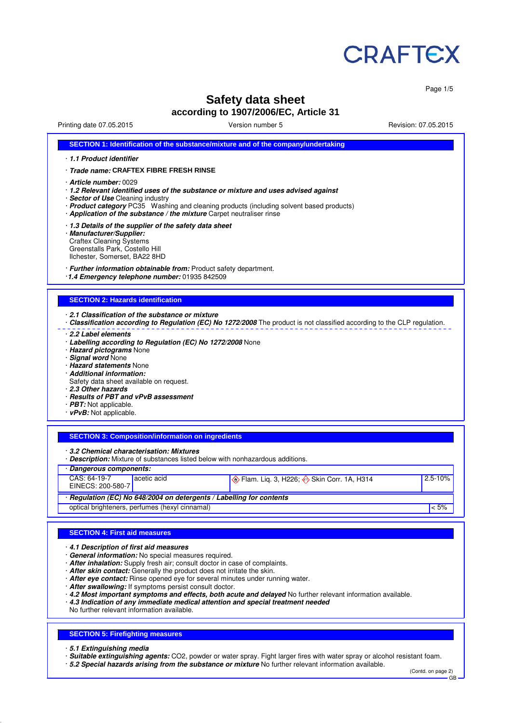

Page 1/5

# **Safety data sheet**

**according to 1907/2006/EC, Article 31**

Printing date 07.05.2015 **Version number 5** Nevision: 07.05.2015 **Revision: 07.05.2015** 

| SECTION 1: Identification of the substance/mixture and of the company/undertaking                                                                                                                                                                                                                                                                                                                                                                                                                                                                                                                                                                                                                                                      |
|----------------------------------------------------------------------------------------------------------------------------------------------------------------------------------------------------------------------------------------------------------------------------------------------------------------------------------------------------------------------------------------------------------------------------------------------------------------------------------------------------------------------------------------------------------------------------------------------------------------------------------------------------------------------------------------------------------------------------------------|
| 1.1 Product identifier                                                                                                                                                                                                                                                                                                                                                                                                                                                                                                                                                                                                                                                                                                                 |
| · Trade name: CRAFTEX FIBRE FRESH RINSE                                                                                                                                                                                                                                                                                                                                                                                                                                                                                                                                                                                                                                                                                                |
| · Article number: 0029<br>· 1.2 Relevant identified uses of the substance or mixture and uses advised against<br>· Sector of Use Cleaning industry<br>· Product category PC35 Washing and cleaning products (including solvent based products)<br>· Application of the substance / the mixture Carpet neutraliser rinse                                                                                                                                                                                                                                                                                                                                                                                                                |
| 1.3 Details of the supplier of the safety data sheet<br>· Manufacturer/Supplier:<br><b>Craftex Cleaning Systems</b><br>Greenstalls Park, Costello Hill<br>Ilchester, Somerset, BA22 8HD                                                                                                                                                                                                                                                                                                                                                                                                                                                                                                                                                |
| · Further information obtainable from: Product safety department.<br>1.4 Emergency telephone number: 01935 842509                                                                                                                                                                                                                                                                                                                                                                                                                                                                                                                                                                                                                      |
| <b>SECTION 2: Hazards identification</b>                                                                                                                                                                                                                                                                                                                                                                                                                                                                                                                                                                                                                                                                                               |
| 2.1 Classification of the substance or mixture<br>· Classification according to Regulation (EC) No 1272/2008 The product is not classified according to the CLP regulation.<br>2.2 Label elements<br>· Labelling according to Regulation (EC) No 1272/2008 None<br>· Hazard pictograms None<br>· Signal word None<br>· Hazard statements None<br>· Additional information:<br>Safety data sheet available on request.<br>2.3 Other hazards<br>· Results of PBT and vPvB assessment<br>$\cdot$ PBT: Not applicable.<br>· vPvB: Not applicable.<br><b>SECTION 3: Composition/information on ingredients</b><br>3.2 Chemical characterisation: Mixtures<br>· Description: Mixture of substances listed below with nonhazardous additions. |
| · Dangerous components:<br>CAS: 64-19-7<br>acetic acid<br>$2.5 - 10%$<br><b>♦ Flam. Lig. 3, H226; ♦ Skin Corr. 1A, H314</b>                                                                                                                                                                                                                                                                                                                                                                                                                                                                                                                                                                                                            |
| EINECS: 200-580-7                                                                                                                                                                                                                                                                                                                                                                                                                                                                                                                                                                                                                                                                                                                      |
| · Regulation (EC) No 648/2004 on detergents / Labelling for contents<br>optical brighteners, perfumes (hexyl cinnamal)<br>$< 5\%$                                                                                                                                                                                                                                                                                                                                                                                                                                                                                                                                                                                                      |
|                                                                                                                                                                                                                                                                                                                                                                                                                                                                                                                                                                                                                                                                                                                                        |
|                                                                                                                                                                                                                                                                                                                                                                                                                                                                                                                                                                                                                                                                                                                                        |
| <b>SECTION 4: First aid measures</b>                                                                                                                                                                                                                                                                                                                                                                                                                                                                                                                                                                                                                                                                                                   |
| 4.1 Description of first aid measures<br>· General information: No special measures required.<br>· After inhalation: Supply fresh air; consult doctor in case of complaints.<br>· After skin contact: Generally the product does not irritate the skin.<br>· After eye contact: Rinse opened eye for several minutes under running water.<br>· After swallowing: If symptoms persist consult doctor.<br>· 4.2 Most important symptoms and effects, both acute and delayed No further relevant information available.<br>$\cdot$ 4.3 Indication of any immediate medical attention and special treatment needed<br>No further relevant information available.                                                                           |
| <b>SECTION 5: Firefighting measures</b><br>· 5.1 Extinguishing media                                                                                                                                                                                                                                                                                                                                                                                                                                                                                                                                                                                                                                                                   |

· **Suitable extinguishing agents:** CO2, powder or water spray. Fight larger fires with water spray or alcohol resistant foam.

· **5.2 Special hazards arising from the substance or mixture** No further relevant information available.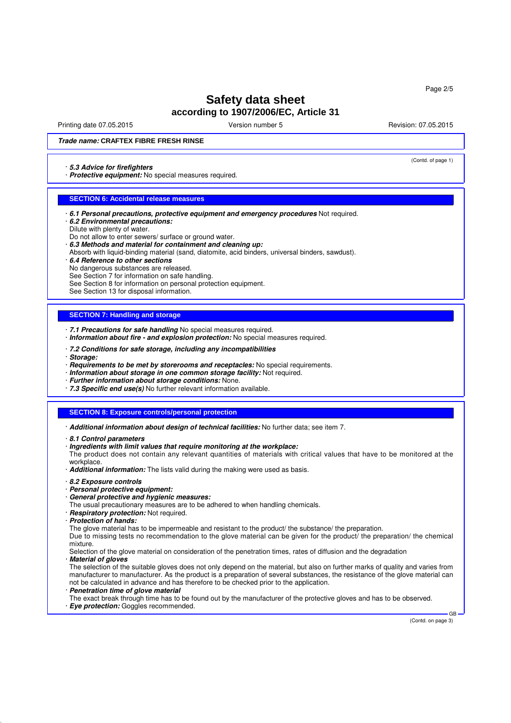Printing date 07.05.2015 **Principal and COVID-100** Version number 5 Revision: 07.05.2015

(Contd. of page 1)

### **Trade name: CRAFTEX FIBRE FRESH RINSE**

#### · **5.3 Advice for firefighters**

· **Protective equipment:** No special measures required.

#### **SECTION 6: Accidental release measures**

- · **6.1 Personal precautions, protective equipment and emergency procedures** Not required.
- · **6.2 Environmental precautions:**
- Dilute with plenty of water.
- Do not allow to enter sewers/ surface or ground water.
- · **6.3 Methods and material for containment and cleaning up:** Absorb with liquid-binding material (sand, diatomite, acid binders, universal binders, sawdust).
- · **6.4 Reference to other sections**
- No dangerous substances are released.
- See Section 7 for information on safe handling.
- See Section 8 for information on personal protection equipment.
- See Section 13 for disposal information.

#### **SECTION 7: Handling and storage**

- · **7.1 Precautions for safe handling** No special measures required.
- · **Information about fire and explosion protection:** No special measures required.
- · **7.2 Conditions for safe storage, including any incompatibilities**
- · **Storage:**
- · **Requirements to be met by storerooms and receptacles:** No special requirements.
- · **Information about storage in one common storage facility:** Not required.
- · **Further information about storage conditions:** None.
- · **7.3 Specific end use(s)** No further relevant information available.

#### **SECTION 8: Exposure controls/personal protection**

- · **Additional information about design of technical facilities:** No further data; see item 7.
- · **8.1 Control parameters**
- · **Ingredients with limit values that require monitoring at the workplace:**
- The product does not contain any relevant quantities of materials with critical values that have to be monitored at the workplace
- · **Additional information:** The lists valid during the making were used as basis.
- · **8.2 Exposure controls**
- · **Personal protective equipment:**
- · **General protective and hygienic measures:**
- The usual precautionary measures are to be adhered to when handling chemicals.
- · **Respiratory protection:** Not required.
- · **Protection of hands:**

The glove material has to be impermeable and resistant to the product/ the substance/ the preparation.

Due to missing tests no recommendation to the glove material can be given for the product/ the preparation/ the chemical mixture.

Selection of the glove material on consideration of the penetration times, rates of diffusion and the degradation · **Material of gloves**

The selection of the suitable gloves does not only depend on the material, but also on further marks of quality and varies from manufacturer to manufacturer. As the product is a preparation of several substances, the resistance of the glove material can not be calculated in advance and has therefore to be checked prior to the application. **Penetration time of glove material** 

The exact break through time has to be found out by the manufacturer of the protective gloves and has to be observed. · **Eye protection:** Goggles recommended.

(Contd. on page 3)

GB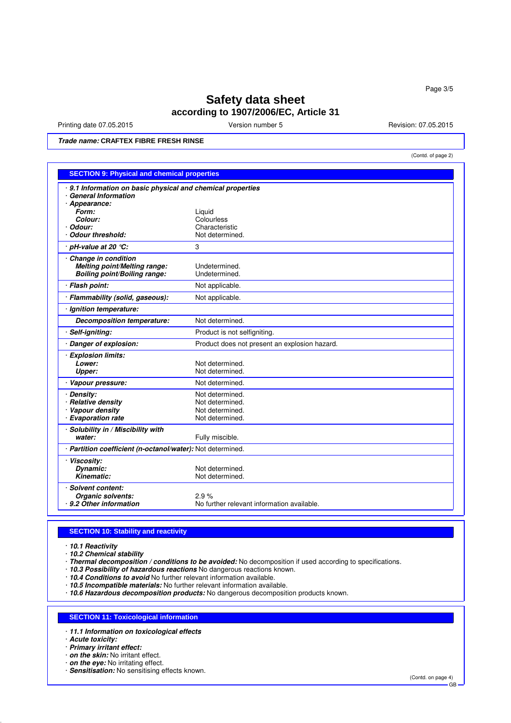Printing date 07.05.2015 **Version number 5** Nevision: 07.05.2015 **Revision: 07.05.2015** 

(Contd. of page 2)

**Trade name: CRAFTEX FIBRE FRESH RINSE**

|                                                            | <b>SECTION 9: Physical and chemical properties</b> |  |  |
|------------------------------------------------------------|----------------------------------------------------|--|--|
| 9.1 Information on basic physical and chemical properties  |                                                    |  |  |
| <b>General Information</b>                                 |                                                    |  |  |
| · Appearance:                                              |                                                    |  |  |
| Form:<br>Colour:                                           | Liquid<br>Colourless                               |  |  |
| · Odour:                                                   | Characteristic                                     |  |  |
| <b>Odour threshold:</b>                                    | Not determined.                                    |  |  |
| pH-value at 20 °C:                                         | 3                                                  |  |  |
| Change in condition                                        |                                                    |  |  |
| Melting point/Melting range:                               | Undetermined.                                      |  |  |
| <b>Boiling point/Boiling range:</b>                        | Undetermined.                                      |  |  |
| Flash point:                                               | Not applicable.                                    |  |  |
| · Flammability (solid, gaseous):                           | Not applicable.                                    |  |  |
| Ignition temperature:                                      |                                                    |  |  |
| <b>Decomposition temperature:</b>                          | Not determined.                                    |  |  |
| Self-igniting:                                             | Product is not selfigniting.                       |  |  |
| Danger of explosion:                                       | Product does not present an explosion hazard.      |  |  |
| <b>Explosion limits:</b>                                   |                                                    |  |  |
| Lower:                                                     | Not determined.                                    |  |  |
| Upper:                                                     | Not determined.                                    |  |  |
| Vapour pressure:                                           | Not determined.                                    |  |  |
| · Density:                                                 | Not determined.                                    |  |  |
| · Relative density                                         | Not determined.                                    |  |  |
| Vapour density                                             | Not determined.                                    |  |  |
| · Evaporation rate                                         | Not determined.                                    |  |  |
| · Solubility in / Miscibility with                         |                                                    |  |  |
| water:                                                     | Fully miscible.                                    |  |  |
| · Partition coefficient (n-octanol/water): Not determined. |                                                    |  |  |
| <b>Viscosity:</b>                                          |                                                    |  |  |
| Dynamic:                                                   | Not determined.                                    |  |  |
| Kinematic:                                                 | Not determined.                                    |  |  |
| <b>Solvent content:</b>                                    |                                                    |  |  |
| Organic solvents:                                          | 2.9%                                               |  |  |
| 9.2 Other information                                      | No further relevant information available.         |  |  |

### **SECTION 10: Stability and reactivity**

· **10.1 Reactivity**

· **10.2 Chemical stability**

· **Thermal decomposition / conditions to be avoided:** No decomposition if used according to specifications.

· **10.3 Possibility of hazardous reactions** No dangerous reactions known.

· **10.4 Conditions to avoid** No further relevant information available.

· **10.5 Incompatible materials:** No further relevant information available.

· **10.6 Hazardous decomposition products:** No dangerous decomposition products known.

### **SECTION 11: Toxicological information**

· **11.1 Information on toxicological effects**

· **Acute toxicity:**

· **Primary irritant effect:**

· **on the skin:** No irritant effect.

· **on the eye:** No irritating effect.

· **Sensitisation:** No sensitising effects known.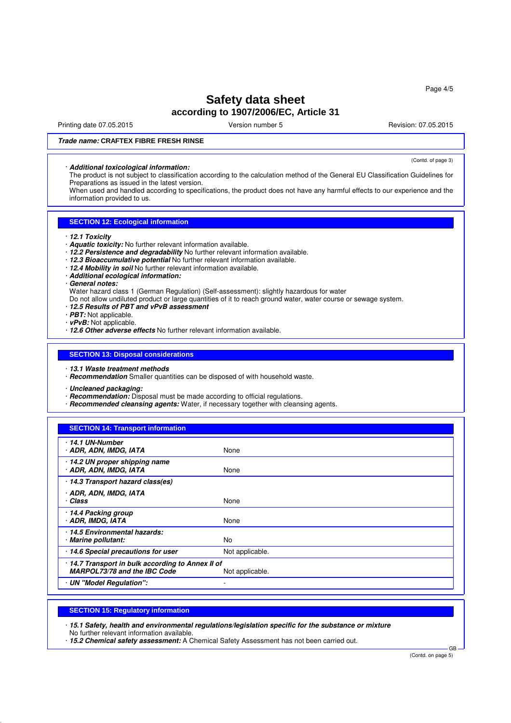Printing date 07.05.2015 **Principal and COVID-100** Version number 5 Revision: 07.05.2015

(Contd. of page 3)

### **Trade name: CRAFTEX FIBRE FRESH RINSE**

### · **Additional toxicological information:**

The product is not subject to classification according to the calculation method of the General EU Classification Guidelines for Preparations as issued in the latest version.

When used and handled according to specifications, the product does not have any harmful effects to our experience and the information provided to us.

### **SECTION 12: Ecological information**

- · **12.1 Toxicity**
- · **Aquatic toxicity:** No further relevant information available.
- · **12.2 Persistence and degradability** No further relevant information available.
- · **12.3 Bioaccumulative potential** No further relevant information available.
- · **12.4 Mobility in soil** No further relevant information available.
- · **Additional ecological information:**
- · **General notes:**
- Water hazard class 1 (German Regulation) (Self-assessment): slightly hazardous for water
- Do not allow undiluted product or large quantities of it to reach ground water, water course or sewage system.
- · **12.5 Results of PBT and vPvB assessment**
- · **PBT:** Not applicable.
- · **vPvB:** Not applicable.
- · **12.6 Other adverse effects** No further relevant information available.

### **SECTION 13: Disposal considerations**

- · **13.1 Waste treatment methods**
- · **Recommendation** Smaller quantities can be disposed of with household waste.
- · **Uncleaned packaging:**
- · **Recommendation:** Disposal must be made according to official regulations.
- · **Recommended cleansing agents:** Water, if necessary together with cleansing agents.

| <b>SECTION 14: Transport information</b>                                        |                 |
|---------------------------------------------------------------------------------|-----------------|
| ∙ 14.1 UN-Number<br>· ADR, ADN, IMDG, IATA                                      | None            |
| 14.2 UN proper shipping name<br>· ADR, ADN, IMDG, IATA                          | None            |
| 14.3 Transport hazard class(es)                                                 |                 |
| · ADR, ADN, IMDG, IATA<br>· Class                                               | None            |
| 14.4 Packing group<br>· ADR, IMDG, IATA                                         | None            |
| 14.5 Environmental hazards:<br>· Marine pollutant:                              | No.             |
| · 14.6 Special precautions for user                                             | Not applicable. |
| 14.7 Transport in bulk according to Annex II of<br>MARPOL73/78 and the IBC Code | Not applicable. |
| · UN "Model Regulation":                                                        | ٠               |

### **SECTION 15: Regulatory information**

· **15.1 Safety, health and environmental regulations/legislation specific for the substance or mixture**

No further relevant information available.

· **15.2 Chemical safety assessment:** A Chemical Safety Assessment has not been carried out.

(Contd. on page 5)

GB